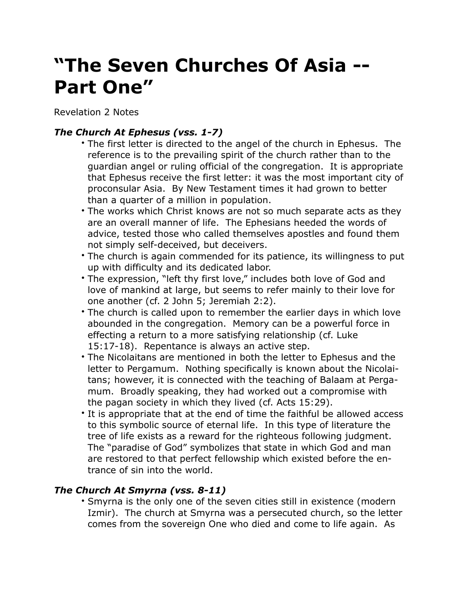# **"The Seven Churches Of Asia -- Part One"**

Revelation 2 Notes

## *The Church At Ephesus (vss. 1-7)*

- The first letter is directed to the angel of the church in Ephesus. The reference is to the prevailing spirit of the church rather than to the guardian angel or ruling official of the congregation. It is appropriate that Ephesus receive the first letter: it was the most important city of proconsular Asia. By New Testament times it had grown to better than a quarter of a million in population.
- The works which Christ knows are not so much separate acts as they are an overall manner of life. The Ephesians heeded the words of advice, tested those who called themselves apostles and found them not simply self-deceived, but deceivers.
- The church is again commended for its patience, its willingness to put up with difficulty and its dedicated labor.
- The expression, "left thy first love," includes both love of God and love of mankind at large, but seems to refer mainly to their love for one another (cf. 2 John 5; Jeremiah 2:2).
- The church is called upon to remember the earlier days in which love abounded in the congregation. Memory can be a powerful force in effecting a return to a more satisfying relationship (cf. Luke 15:17-18). Repentance is always an active step.
- The Nicolaitans are mentioned in both the letter to Ephesus and the letter to Pergamum. Nothing specifically is known about the Nicolaitans; however, it is connected with the teaching of Balaam at Pergamum. Broadly speaking, they had worked out a compromise with the pagan society in which they lived (cf. Acts 15:29).
- It is appropriate that at the end of time the faithful be allowed access to this symbolic source of eternal life. In this type of literature the tree of life exists as a reward for the righteous following judgment. The "paradise of God" symbolizes that state in which God and man are restored to that perfect fellowship which existed before the entrance of sin into the world.

## *The Church At Smyrna (vss. 8-11)*

• Smyrna is the only one of the seven cities still in existence (modern Izmir). The church at Smyrna was a persecuted church, so the letter comes from the sovereign One who died and come to life again. As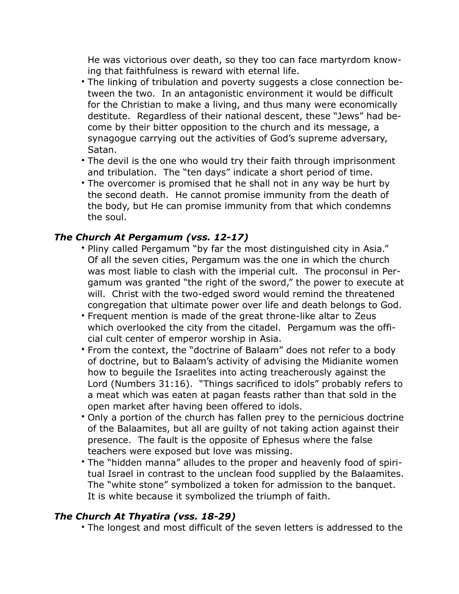He was victorious over death, so they too can face martyrdom knowing that faithfulness is reward with eternal life.

- The linking of tribulation and poverty suggests a close connection between the two. In an antagonistic environment it would be difficult for the Christian to make a living, and thus many were economically destitute. Regardless of their national descent, these "Jews" had become by their bitter opposition to the church and its message, a synagogue carrying out the activities of God's supreme adversary, Satan.
- The devil is the one who would try their faith through imprisonment and tribulation. The "ten days" indicate a short period of time.
- The overcomer is promised that he shall not in any way be hurt by the second death. He cannot promise immunity from the death of the body, but He can promise immunity from that which condemns the soul.

### *The Church At Pergamum (vss. 12-17)*

- Pliny called Pergamum "by far the most distinguished city in Asia." Of all the seven cities, Pergamum was the one in which the church was most liable to clash with the imperial cult. The proconsul in Pergamum was granted "the right of the sword," the power to execute at will. Christ with the two-edged sword would remind the threatened congregation that ultimate power over life and death belongs to God.
- Frequent mention is made of the great throne-like altar to Zeus which overlooked the city from the citadel. Pergamum was the official cult center of emperor worship in Asia.
- From the context, the "doctrine of Balaam" does not refer to a body of doctrine, but to Balaam's activity of advising the Midianite women how to beguile the Israelites into acting treacherously against the Lord (Numbers 31:16). "Things sacrificed to idols" probably refers to a meat which was eaten at pagan feasts rather than that sold in the open market after having been offered to idols.
- Only a portion of the church has fallen prey to the pernicious doctrine of the Balaamites, but all are guilty of not taking action against their presence. The fault is the opposite of Ephesus where the false teachers were exposed but love was missing.
- The "hidden manna" alludes to the proper and heavenly food of spiritual Israel in contrast to the unclean food supplied by the Balaamites. The "white stone" symbolized a token for admission to the banquet. It is white because it symbolized the triumph of faith.

## *The Church At Thyatira (vss. 18-29)*

• The longest and most difficult of the seven letters is addressed to the